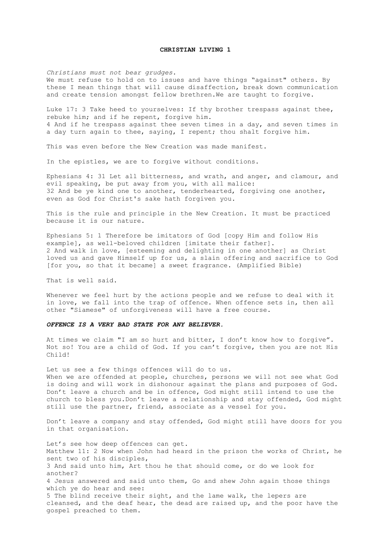#### **CHRISTIAN LIVING 1**

*Christians must not bear grudges*. We must refuse to hold on to issues and have things "against" others. By these I mean things that will cause disaffection, break down communication and create tension amongst fellow brethren.We are taught to forgive.

Luke 17: 3 Take heed to yourselves: If thy brother trespass against thee, rebuke him; and if he repent, forgive him. 4 And if he trespass against thee seven times in a day, and seven times in a day turn again to thee, saying, I repent; thou shalt forgive him.

This was even before the New Creation was made manifest.

In the epistles, we are to forgive without conditions.

Ephesians 4: 31 Let all bitterness, and wrath, and anger, and clamour, and evil speaking, be put away from you, with all malice: 32 And be ye kind one to another, tenderhearted, forgiving one another, even as God for Christ's sake hath forgiven you.

This is the rule and principle in the New Creation. It must be practiced because it is our nature.

Ephesians 5: 1 Therefore be imitators of God [copy Him and follow His example], as well-beloved children [imitate their father]. 2 And walk in love, [esteeming and delighting in one another] as Christ loved us and gave Himself up for us, a slain offering and sacrifice to God [for you, so that it became] a sweet fragrance. (Amplified Bible)

That is well said.

Whenever we feel hurt by the actions people and we refuse to deal with it in love, we fall into the trap of offence. When offence sets in, then all other "Siamese" of unforgiveness will have a free course.

# *OFFENCE IS A VERY BAD STATE FOR ANY BELIEVER.*

At times we claim "I am so hurt and bitter, I don't know how to forgive". Not so! You are a child of God. If you can't forgive, then you are not His Child!

Let us see a few things offences will do to us. When we are offended at people, churches, persons we will not see what God is doing and will work in dishonour against the plans and purposes of God. Don't leave a church and be in offence, God might still intend to use the church to bless you.Don't leave a relationship and stay offended, God might still use the partner, friend, associate as a vessel for you.

Don't leave a company and stay offended, God might still have doors for you in that organisation.

Let's see how deep offences can get. Matthew 11: 2 Now when John had heard in the prison the works of Christ, he sent two of his disciples, 3 And said unto him, Art thou he that should come, or do we look for another? 4 Jesus answered and said unto them, Go and shew John again those things which ye do hear and see: 5 The blind receive their sight, and the lame walk, the lepers are cleansed, and the deaf hear, the dead are raised up, and the poor have the gospel preached to them.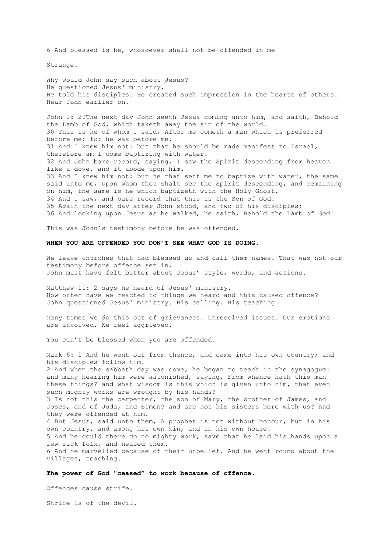6 And blessed is he, whosoever shall not be offended in me

Strange.

Why would John say such about Jesus? He questioned Jesus' ministry. He told his disciples. He created such impression in the hearts of others. Hear John earlier on.

John 1: 29The next day John seeth Jesus coming unto him, and saith, Behold the Lamb of God, which taketh away the sin of the world. 30 This is he of whom I said, After me cometh a man which is preferred before me: for he was before me. 31 And I knew him not: but that he should be made manifest to Israel, therefore am I come baptizing with water. 32 And John bare record, saying, I saw the Spirit descending from heaven like a dove, and it abode upon him. 33 And I knew him not: but he that sent me to baptize with water, the same said unto me, Upon whom thou shalt see the Spirit descending, and remaining on him, the same is he which baptizeth with the Holy Ghost. 34 And I saw, and bare record that this is the Son of God. 35 Again the next day after John stood, and two of his disciples; 36 And looking upon Jesus as he walked, he saith, Behold the Lamb of God!

This was John's testimony before he was offended.

## **WHEN YOU ARE OFFENDED YOU DON'T SEE WHAT GOD IS DOING.**

We leave churches that had blessed us and call them names. That was not our testimony before offence set in. John must have felt bitter about Jesus' style, words, and actions.

Matthew 11: 2 says he heard of Jesus' ministry. How often have we reacted to things we heard and this caused offence? John questioned Jesus' ministry. His calling. His teaching.

Many times we do this out of grievances. Unresolved issues. Our emotions are involved. We feel aggrieved.

You can't be blessed when you are offended.

Mark 6: 1 And he went out from thence, and came into his own country; and his disciples follow him. 2 And when the sabbath day was come, he began to teach in the synagogue: and many hearing him were astonished, saying, From whence hath this man these things? and what wisdom is this which is given unto him, that even such mighty works are wrought by his hands? 3 Is not this the carpenter, the son of Mary, the brother of James, and Joses, and of Juda, and Simon? and are not his sisters here with us? And they were offended at him. 4 But Jesus, said unto them, A prophet is not without honour, but in his own country, and among his own kin, and in his own house. 5 And he could there do no mighty work, save that he laid his hands upon a few sick folk, and healed them. 6 And he marvelled because of their unbelief. And he went round about the villages, teaching.

### **The power of God "ceased" to work because of offence.**

Offences cause strife.

Strife is of the devil.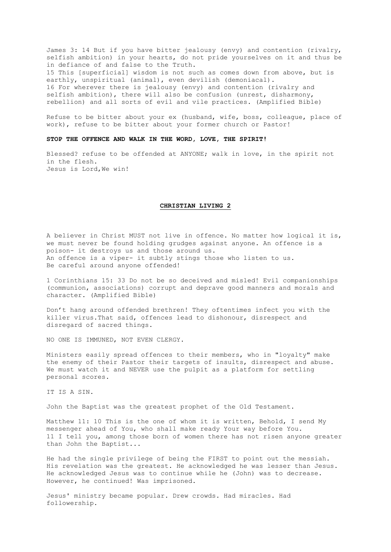James 3: 14 But if you have bitter jealousy (envy) and contention (rivalry, selfish ambition) in your hearts, do not pride yourselves on it and thus be in defiance of and false to the Truth. 15 This [superficial] wisdom is not such as comes down from above, but is earthly, unspiritual (animal), even devilish (demoniacal). 16 For wherever there is jealousy (envy) and contention (rivalry and selfish ambition), there will also be confusion (unrest, disharmony, rebellion) and all sorts of evil and vile practices. (Amplified Bible)

Refuse to be bitter about your ex (husband, wife, boss, colleague, place of work), refuse to be bitter about your former church or Pastor!

### **STOP THE OFFENCE AND WALK IN THE WORD, LOVE, THE SPIRIT!**

Blessed? refuse to be offended at ANYONE; walk in love, in the spirit not in the flesh. Jesus is Lord,We win!

## **CHRISTIAN LIVING 2**

A believer in Christ MUST not live in offence. No matter how logical it is, we must never be found holding grudges against anyone. An offence is a poison- it destroys us and those around us. An offence is a viper- it subtly stings those who listen to us. Be careful around anyone offended!

1 Corinthians 15: 33 Do not be so deceived and misled! Evil companionships (communion, associations) corrupt and deprave good manners and morals and character. (Amplified Bible)

Don't hang around offended brethren! They oftentimes infect you with the killer virus.That said, offences lead to dishonour, disrespect and disregard of sacred things.

NO ONE IS IMMUNED, NOT EVEN CLERGY.

Ministers easily spread offences to their members, who in "loyalty" make the enemy of their Pastor their targets of insults, disrespect and abuse. We must watch it and NEVER use the pulpit as a platform for settling personal scores.

IT IS A SIN.

John the Baptist was the greatest prophet of the Old Testament.

Matthew 11: 10 This is the one of whom it is written, Behold, I send My messenger ahead of You, who shall make ready Your way before You. 11 I tell you, among those born of women there has not risen anyone greater than John the Baptist...

He had the single privilege of being the FIRST to point out the messiah. His revelation was the greatest. He acknowledged he was lesser than Jesus. He acknowledged Jesus was to continue while he (John) was to decrease. However, he continued! Was imprisoned.

Jesus' ministry became popular. Drew crowds. Had miracles. Had followership.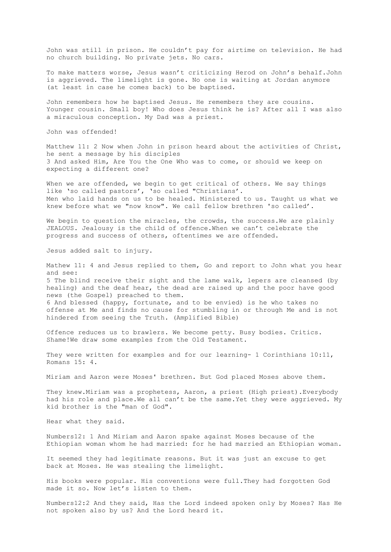John was still in prison. He couldn't pay for airtime on television. He had no church building. No private jets. No cars.

To make matters worse, Jesus wasn't criticizing Herod on John's behalf.John is aggrieved. The limelight is gone. No one is waiting at Jordan anymore (at least in case he comes back) to be baptised.

John remembers how he baptised Jesus. He remembers they are cousins. Younger cousin. Small boy! Who does Jesus think he is? After all I was also a miraculous conception. My Dad was a priest.

John was offended!

Matthew 11: 2 Now when John in prison heard about the activities of Christ, he sent a message by his disciples 3 And asked Him, Are You the One Who was to come, or should we keep on expecting a different one?

When we are offended, we begin to get critical of others. We say things like 'so called pastors', 'so called "Christians'. Men who laid hands on us to be healed. Ministered to us. Taught us what we knew before what we "now know". We call fellow brethren 'so called'.

We begin to question the miracles, the crowds, the success. We are plainly JEALOUS. Jealousy is the child of offence.When we can't celebrate the progress and success of others, oftentimes we are offended.

Jesus added salt to injury.

Mathew 11: 4 and Jesus replied to them, Go and report to John what you hear and see: 5 The blind receive their sight and the lame walk, lepers are cleansed (by healing) and the deaf hear, the dead are raised up and the poor have good news (the Gospel) preached to them. 6 And blessed (happy, fortunate, and to be envied) is he who takes no offense at Me and finds no cause for stumbling in or through Me and is not hindered from seeing the Truth. (Amplified Bible)

Offence reduces us to brawlers. We become petty. Busy bodies. Critics. Shame!We draw some examples from the Old Testament.

They were written for examples and for our learning- 1 Corinthians  $10:11$ , Romans 15: 4.

Miriam and Aaron were Moses' brethren. But God placed Moses above them.

They knew.Miriam was a prophetess, Aaron, a priest (High priest).Everybody had his role and place. We all can't be the same. Yet they were aggrieved. My kid brother is the "man of God".

Hear what they said.

Numbers12: 1 And Miriam and Aaron spake against Moses because of the Ethiopian woman whom he had married: for he had married an Ethiopian woman.

It seemed they had legitimate reasons. But it was just an excuse to get back at Moses. He was stealing the limelight.

His books were popular. His conventions were full.They had forgotten God made it so. Now let's listen to them.

Numbers12:2 And they said, Has the Lord indeed spoken only by Moses? Has He not spoken also by us? And the Lord heard it.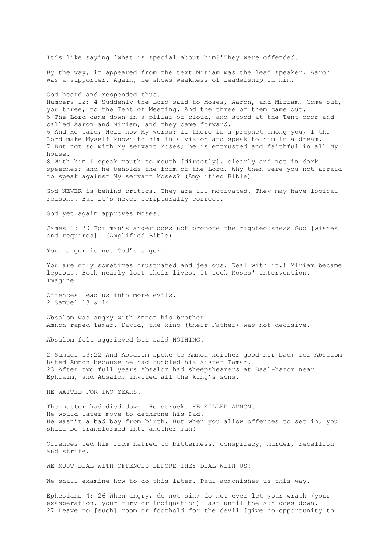It's like saying 'what is special about him?'They were offended. By the way, it appeared from the text Miriam was the lead speaker, Aaron was a supporter. Again, he shows weakness of leadership in him. God heard and responded thus. Numbers 12: 4 Suddenly the Lord said to Moses, Aaron, and Miriam, Come out, you three, to the Tent of Meeting. And the three of them came out. 5 The Lord came down in a pillar of cloud, and stood at the Tent door and called Aaron and Miriam, and they came forward. 6 And He said, Hear now My words: If there is a prophet among you, I the Lord make Myself known to him in a vision and speak to him in a dream. 7 But not so with My servant Moses; he is entrusted and faithful in all My house. 8 With him I speak mouth to mouth [directly], clearly and not in dark speeches; and he beholds the form of the Lord. Why then were you not afraid to speak against My servant Moses? (Amplified Bible) God NEVER is behind critics. They are ill-motivated. They may have logical reasons. But it's never scripturally correct. God yet again approves Moses. James 1: 20 For man's anger does not promote the righteousness God [wishes and requires]. (Amplified Bible) Your anger is not God's anger. You are only sometimes frustrated and jealous. Deal with it.! Miriam became leprous. Both nearly lost their lives. It took Moses' intervention. Imagine! Offences lead us into more evils. 2 Samuel 13 & 14 Absalom was angry with Amnon his brother. Amnon raped Tamar. David, the king (their Father) was not decisive. Absalom felt aggrieved but said NOTHING. 2 Samuel 13:22 And Absalom spoke to Amnon neither good nor bad; for Absalom hated Amnon because he had humbled his sister Tamar. 23 After two full years Absalom had sheepshearers at Baal-hazor near Ephraim, and Absalom invited all the king's sons. HE WAITED FOR TWO YEARS. The matter had died down. He struck. HE KILLED AMNON. He would later move to dethrone his Dad. He wasn't a bad boy from birth. But when you allow offences to set in, you shall be transformed into another man! Offences led him from hatred to bitterness, conspiracy, murder, rebellion and strife. WE MUST DEAL WITH OFFENCES BEFORE THEY DEAL WITH US! We shall examine how to do this later. Paul admonishes us this way.

Ephesians 4: 26 When angry, do not sin; do not ever let your wrath (your exasperation, your fury or indignation) last until the sun goes down. 27 Leave no [such] room or foothold for the devil [give no opportunity to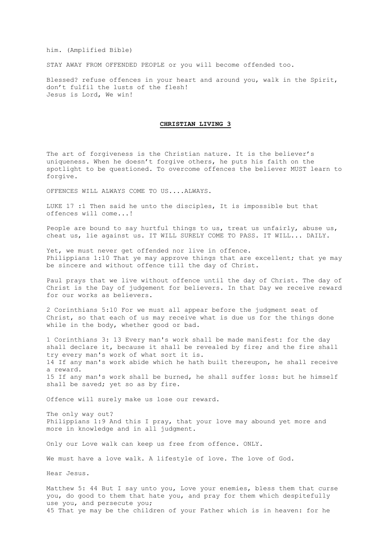him. (Amplified Bible)

STAY AWAY FROM OFFENDED PEOPLE or you will become offended too.

Blessed? refuse offences in your heart and around you, walk in the Spirit, don't fulfil the lusts of the flesh! Jesus is Lord, We win!

## **CHRISTIAN LIVING 3**

The art of forgiveness is the Christian nature. It is the believer's uniqueness. When he doesn't forgive others, he puts his faith on the spotlight to be questioned. To overcome offences the believer MUST learn to forgive.

OFFENCES WILL ALWAYS COME TO US....ALWAYS.

LUKE 17 :1 Then said he unto the disciples, It is impossible but that offences will come...!

People are bound to say hurtful things to us, treat us unfairly, abuse us, cheat us, lie against us. IT WILL SURELY COME TO PASS. IT WILL... DAILY.

Yet, we must never get offended nor live in offence. Philippians 1:10 That ye may approve things that are excellent; that ye may be sincere and without offence till the day of Christ.

Paul prays that we live without offence until the day of Christ. The day of Christ is the Day of judgement for believers. In that Day we receive reward for our works as believers.

2 Corinthians 5:10 For we must all appear before the judgment seat of Christ, so that each of us may receive what is due us for the things done while in the body, whether good or bad.

1 Corinthians 3: 13 Every man's work shall be made manifest: for the day shall declare it, because it shall be revealed by fire; and the fire shall try every man's work of what sort it is. 14 If any man's work abide which he hath built thereupon, he shall receive a reward. 15 If any man's work shall be burned, he shall suffer loss: but he himself shall be saved; yet so as by fire.

Offence will surely make us lose our reward.

The only way out? Philippians 1:9 And this I pray, that your love may abound yet more and more in knowledge and in all judgment.

Only our Love walk can keep us free from offence. ONLY.

We must have a love walk. A lifestyle of love. The love of God.

Hear Jesus.

Matthew 5: 44 But I say unto you, Love your enemies, bless them that curse you, do good to them that hate you, and pray for them which despitefully use you, and persecute you; 45 That ye may be the children of your Father which is in heaven: for he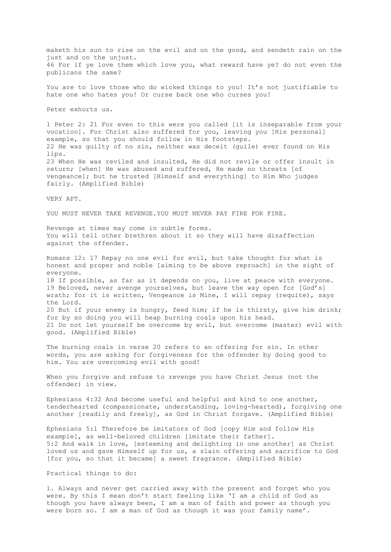maketh his sun to rise on the evil and on the good, and sendeth rain on the just and on the unjust. 46 For if ye love them which love you, what reward have ye? do not even the publicans the same? You are to love those who do wicked things to you! It's not justifiable to hate one who hates you! Or curse back one who curses you! Peter exhorts us. 1 Peter 2: 21 For even to this were you called [it is inseparable from your vocation]. For Christ also suffered for you, leaving you [His personal] example, so that you should follow in His footsteps. 22 He was guilty of no sin, neither was deceit (guile) ever found on His lips. 23 When He was reviled and insulted, He did not revile or offer insult in return; [when] He was abused and suffered, He made no threats [of vengeance]; but he trusted [Himself and everything] to Him Who judges fairly. (Amplified Bible) VERY APT. YOU MUST NEVER TAKE REVENGE.YOU MUST NEVER PAY FIRE FOR FIRE. Revenge at times may come in subtle forms. You will tell other brethren about it so they will have disaffection against the offender. Romans 12: 17 Repay no one evil for evil, but take thought for what is honest and proper and noble [aiming to be above reproach] in the sight of everyone. 18 If possible, as far as it depends on you, live at peace with everyone. 19 Beloved, never avenge yourselves, but leave the way open for [God's] wrath; for it is written, Vengeance is Mine, I will repay (requite), says the Lord. 20 But if your enemy is hungry, feed him; if he is thirsty, give him drink; for by so doing you will heap burning coals upon his head. 21 Do not let yourself be overcome by evil, but overcome (master) evil with good. (Amplified Bible) The burning coals in verse 20 refers to an offering for sin. In other words, you are asking for forgiveness for the offender by doing good to him. You are overcoming evil with good! When you forgive and refuse to revenge you have Christ Jesus (not the offender) in view. Ephesians 4:32 And become useful and helpful and kind to one another, tenderhearted (compassionate, understanding, loving-hearted), forgiving one another [readily and freely], as God in Christ forgave. (Amplified Bible) Ephesians 5:1 Therefore be imitators of God [copy Him and follow His example], as well-beloved children [imitate their father]. 5:2 And walk in love, [esteeming and delighting in one another] as Christ loved us and gave Himself up for us, a slain offering and sacrifice to God [for you, so that it became] a sweet fragrance. (Amplified Bible) Practical things to do:

1. Always and never get carried away with the present and forget who you were. By this I mean don't start feeling like 'I am a child of God as though you have always been, I am a man of faith and power as though you were born so. I am a man of God as though it was your family name'.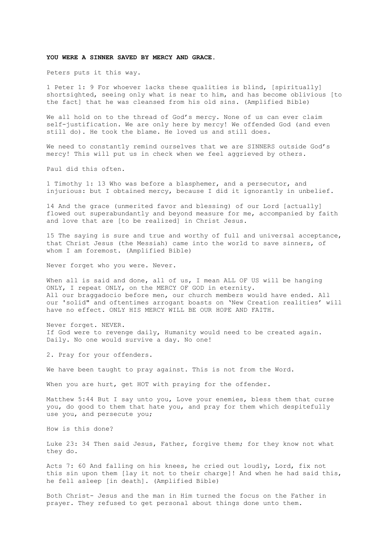### **YOU WERE A SINNER SAVED BY MERCY AND GRACE.**

Peters puts it this way.

1 Peter 1: 9 For whoever lacks these qualities is blind, [spiritually] shortsighted, seeing only what is near to him, and has become oblivious [to the fact] that he was cleansed from his old sins. (Amplified Bible)

We all hold on to the thread of God's mercy. None of us can ever claim self-justification. We are only here by mercy! We offended God (and even still do). He took the blame. He loved us and still does.

We need to constantly remind ourselves that we are SINNERS outside God's mercy! This will put us in check when we feel aggrieved by others.

Paul did this often.

1 Timothy 1: 13 Who was before a blasphemer, and a persecutor, and injurious: but I obtained mercy, because I did it ignorantly in unbelief.

14 And the grace (unmerited favor and blessing) of our Lord [actually] flowed out superabundantly and beyond measure for me, accompanied by faith and love that are [to be realized] in Christ Jesus.

15 The saying is sure and true and worthy of full and universal acceptance, that Christ Jesus (the Messiah) came into the world to save sinners, of whom I am foremost. (Amplified Bible)

Never forget who you were. Never.

When all is said and done, all of us, I mean ALL OF US will be hanging ONLY, I repeat ONLY, on the MERCY OF GOD in eternity. All our braggadocio before men, our church members would have ended. All our 'solid" and oftentimes arrogant boasts on 'New Creation realities' will have no effect. ONLY HIS MERCY WILL BE OUR HOPE AND FAITH.

Never forget. NEVER. If God were to revenge daily, Humanity would need to be created again. Daily. No one would survive a day. No one!

2. Pray for your offenders.

We have been taught to pray against. This is not from the Word.

When you are hurt, get HOT with praying for the offender.

Matthew 5:44 But I say unto you, Love your enemies, bless them that curse you, do good to them that hate you, and pray for them which despitefully use you, and persecute you;

How is this done?

Luke 23: 34 Then said Jesus, Father, forgive them; for they know not what they do.

Acts 7: 60 And falling on his knees, he cried out loudly, Lord, fix not this sin upon them [lay it not to their charge]! And when he had said this, he fell asleep [in death]. (Amplified Bible)

Both Christ- Jesus and the man in Him turned the focus on the Father in prayer. They refused to get personal about things done unto them.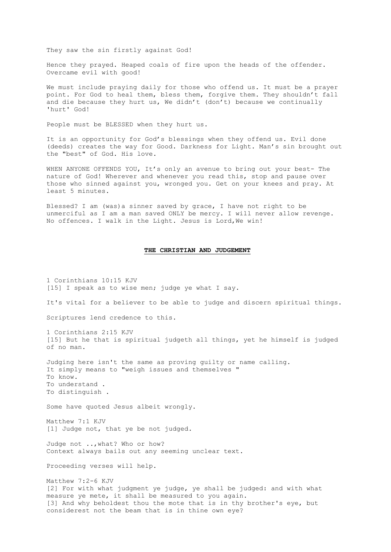They saw the sin firstly against God!

Hence they prayed. Heaped coals of fire upon the heads of the offender. Overcame evil with good!

We must include praying daily for those who offend us. It must be a prayer point. For God to heal them, bless them, forgive them. They shouldn't fall and die because they hurt us, We didn't (don't) because we continually 'hurt' God!

People must be BLESSED when they hurt us.

It is an opportunity for God's blessings when they offend us. Evil done (deeds) creates the way for Good. Darkness for Light. Man's sin brought out the "best" of God. His love.

WHEN ANYONE OFFENDS YOU, It's only an avenue to bring out your best- The nature of God! Wherever and whenever you read this, stop and pause over those who sinned against you, wronged you. Get on your knees and pray. At least 5 minutes.

Blessed? I am (was)a sinner saved by grace, I have not right to be unmerciful as I am a man saved ONLY be mercy. I will never allow revenge. No offences. I walk in the Light. Jesus is Lord,We win!

## **THE CHRISTIAN AND JUDGEMENT**

1 Corinthians 10:15 KJV [15] I speak as to wise men; judge ye what I say.

It's vital for a believer to be able to judge and discern spiritual things.

Scriptures lend credence to this.

1 Corinthians 2:15 KJV [15] But he that is spiritual judgeth all things, yet he himself is judged of no man.

Judging here isn't the same as proving guilty or name calling. It simply means to "weigh issues and themselves " To know. To understand . To distinguish .

Some have quoted Jesus albeit wrongly.

Matthew 7:1 KJV [1] Judge not, that ye be not judged.

Judge not ..,what? Who or how? Context always bails out any seeming unclear text.

Proceeding verses will help.

Matthew 7:2-6 KJV [2] For with what judgment ye judge, ye shall be judged: and with what measure ye mete, it shall be measured to you again. [3] And why beholdest thou the mote that is in thy brother's eye, but considerest not the beam that is in thine own eye?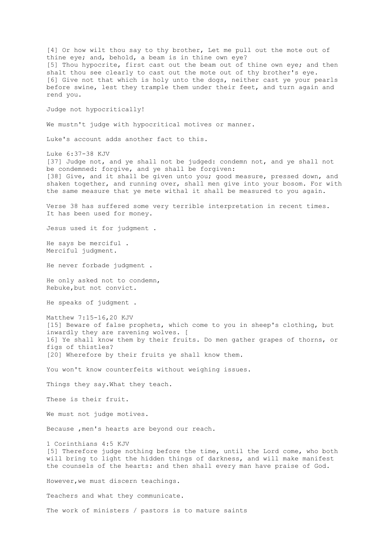[4] Or how wilt thou say to thy brother, Let me pull out the mote out of thine eye; and, behold, a beam is in thine own eye? [5] Thou hypocrite, first cast out the beam out of thine own eye; and then shalt thou see clearly to cast out the mote out of thy brother's eye. [6] Give not that which is holy unto the dogs, neither cast ye your pearls before swine, lest they trample them under their feet, and turn again and rend you. Judge not hypocritically! We mustn't judge with hypocritical motives or manner. Luke's account adds another fact to this. Luke 6:37-38 KJV [37] Judge not, and ye shall not be judged: condemn not, and ye shall not be condemned: forgive, and ye shall be forgiven: [38] Give, and it shall be given unto you; good measure, pressed down, and shaken together, and running over, shall men give into your bosom. For with the same measure that ye mete withal it shall be measured to you again. Verse 38 has suffered some very terrible interpretation in recent times. It has been used for money. Jesus used it for judgment . He says be merciful . Merciful judgment. He never forbade judgment . He only asked not to condemn, Rebuke,but not convict. He speaks of judgment . Matthew 7:15-16,20 KJV [15] Beware of false prophets, which come to you in sheep's clothing, but inwardly they are ravening wolves. [ 16] Ye shall know them by their fruits. Do men gather grapes of thorns, or figs of thistles? [20] Wherefore by their fruits ye shall know them. You won't know counterfeits without weighing issues. Things they say.What they teach. These is their fruit. We must not judge motives. Because ,men's hearts are beyond our reach. 1 Corinthians 4:5 KJV [5] Therefore judge nothing before the time, until the Lord come, who both will bring to light the hidden things of darkness, and will make manifest the counsels of the hearts: and then shall every man have praise of God. However,we must discern teachings. Teachers and what they communicate. The work of ministers / pastors is to mature saints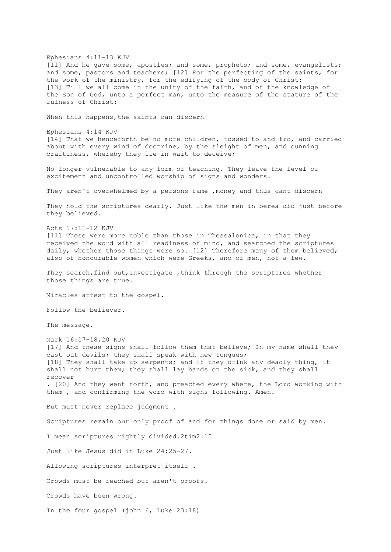Ephesians 4:11-13 KJV [11] And he gave some, apostles; and some, prophets; and some, evangelists; and some, pastors and teachers; [12] For the perfecting of the saints, for the work of the ministry, for the edifying of the body of Christ: [13] Till we all come in the unity of the faith, and of the knowledge of the Son of God, unto a perfect man, unto the measure of the stature of the fulness of Christ: When this happens, the saints can discern Ephesians 4:14 KJV [14] That we henceforth be no more children, tossed to and fro, and carried about with every wind of doctrine, by the sleight of men, and cunning craftiness, whereby they lie in wait to deceive; No longer vulnerable to any form of teaching. They leave the level of excitement and uncontrolled worship of signs and wonders. They aren't overwhelmed by a persons fame ,money and thus cant discern They hold the scriptures dearly. Just like the men in berea did just before they believed. Acts 17:11-12 KJV [11] These were more noble than those in Thessalonica, in that they received the word with all readiness of mind, and searched the scriptures daily, whether those things were so. [12] Therefore many of them believed; also of honourable women which were Greeks, and of men, not a few. They search, find out, investigate , think through the scriptures whether those things are true. Miracles attest to the gospel. Follow the believer. The message. Mark 16:17-18,20 KJV [17] And these signs shall follow them that believe; In my name shall they cast out devils; they shall speak with new tongues; [18] They shall take up serpents; and if they drink any deadly thing, it shall not hurt them; they shall lay hands on the sick, and they shall recover . [20] And they went forth, and preached every where, the Lord working with them , and confirming the word with signs following. Amen. But must never replace judgment . Scriptures remain our only proof of and for things done or said by men. I mean scriptures rightly divided.2tim2:15 Just like Jesus did in Luke 24:25-27. Allowing scriptures interpret itself . Crowds must be reached but aren't proofs. Crowds have been wrong. In the four gospel (john 6, Luke 23:18)